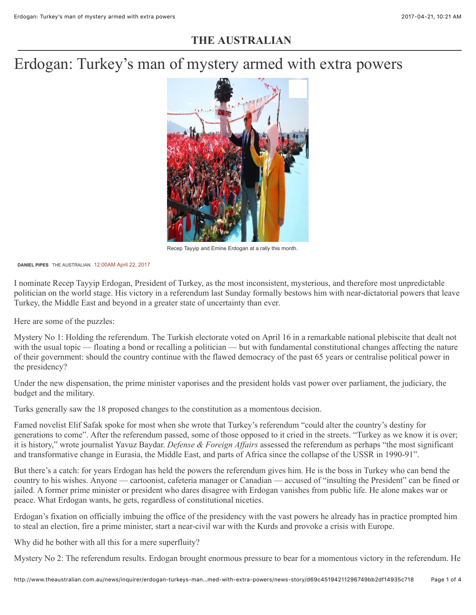# **THE AUSTRALIAN**

# Erdogan: Turkey's man of mystery armed with extra powers



Recep Tayyip and Emine Erdogan at a rally this month.

**DANIEL PIPES** THE AUSTRALIAN 12:00AM April 22, 2017

I nominate Recep Tayyip Erdogan, President of Turkey, as the most inconsistent, mysterious, and therefore most unpredictable politician on the world stage. His victory in a referendum last Sunday formally bestows him with near-dictatorial powers that leave Turkey, the Middle East and beyond in a greater state of uncertainty than ever.

Here are some of the puzzles:

Mystery No 1: Holding the referendum. The Turkish electorate voted on April 16 in a remarkable national plebiscite that dealt not with the usual topic — floating a bond or recalling a politician — but with fundamental constitutional changes affecting the nature of their government: should the country continue with the flawed democracy of the past 65 years or centralise political power in the presidency?

Under the new dispensation, the prime minister vaporises and the president holds vast power over parliament, the judiciary, the budget and the military.

Turks generally saw the 18 proposed changes to the constitution as a momentous decision.

Famed novelist Elif Safak spoke for most when she wrote that Turkey's referendum "could alter the country's destiny for generations to come". After the referendum passed, some of those opposed to it cried in the streets. "Turkey as we know it is over; it is history," wrote journalist Yavuz Baydar. *Defense & Foreign Affairs* assessed the referendum as perhaps "the most significant and transformative change in Eurasia, the Middle East, and parts of Africa since the collapse of the USSR in 1990-91".

But there's a catch: for years Erdogan has held the powers the referendum gives him. He is the boss in Turkey who can bend the country to his wishes. Anyone — cartoonist, cafeteria manager or Canadian — accused of "insulting the President" can be fined or jailed. A former prime minister or president who dares disagree with Erdogan vanishes from public life. He alone makes war or peace. What Erdogan wants, he gets, regardless of constitutional niceties.

Erdogan's fixation on officially imbuing the office of the presidency with the vast powers he already has in practice prompted him to steal an election, fire a prime minister, start a near-civil war with the Kurds and provoke a crisis with Europe.

Why did he bother with all this for a mere superfluity?

Mystery No 2: The referendum results. Erdogan brought enormous pressure to bear for a momentous victory in the referendum. He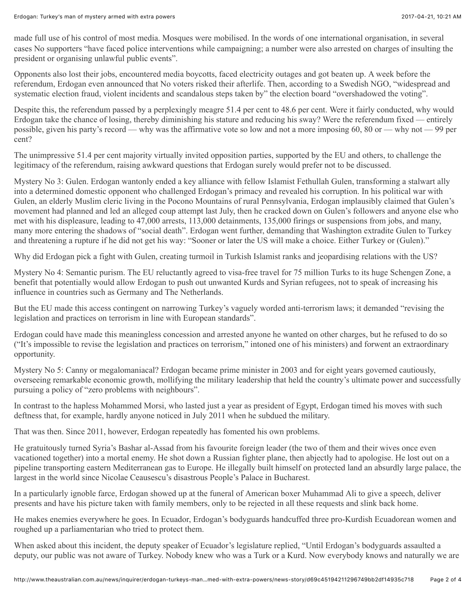made full use of his control of most media. Mosques were mobilised. In the words of one international organisation, in several cases No supporters "have faced police interventions while campaigning; a number were also arrested on charges of insulting the president or organising unlawful public events".

Opponents also lost their jobs, encountered media boycotts, faced electricity outages and got beaten up. A week before the referendum, Erdogan even announced that No voters risked their afterlife. Then, according to a Swedish NGO, "widespread and systematic election fraud, violent incidents and scandalous steps taken by" the election board "overshadowed the voting".

Despite this, the referendum passed by a perplexingly meagre 51.4 per cent to 48.6 per cent. Were it fairly conducted, why would Erdogan take the chance of losing, thereby diminishing his stature and reducing his sway? Were the referendum fixed — entirely possible, given his party's record — why was the affirmative vote so low and not a more imposing 60, 80 or — why not — 99 per cent?

The unimpressive 51.4 per cent majority virtually invited opposition parties, supported by the EU and others, to challenge the legitimacy of the referendum, raising awkward questions that Erdogan surely would prefer not to be discussed.

Mystery No 3: Gulen. Erdogan wantonly ended a key alliance with fellow Islamist Fethullah Gulen, transforming a stalwart ally into a determined domestic opponent who challenged Erdogan's primacy and revealed his corruption. In his political war with Gulen, an elderly Muslim cleric living in the Pocono Mountains of rural Pennsylvania, Erdogan implausibly claimed that Gulen's movement had planned and led an alleged coup attempt last July, then he cracked down on Gulen's followers and anyone else who met with his displeasure, leading to 47,000 arrests, 113,000 detainments, 135,000 firings or suspensions from jobs, and many, many more entering the shadows of "social death". Erdogan went further, demanding that Washington extradite Gulen to Turkey and threatening a rupture if he did not get his way: "Sooner or later the US will make a choice. Either Turkey or (Gulen)."

Why did Erdogan pick a fight with Gulen, creating turmoil in Turkish Islamist ranks and jeopardising relations with the US?

Mystery No 4: Semantic purism. The EU reluctantly agreed to visa-free travel for 75 million Turks to its huge Schengen Zone, a benefit that potentially would allow Erdogan to push out unwanted Kurds and Syrian refugees, not to speak of increasing his influence in countries such as Germany and The Netherlands.

But the EU made this access contingent on narrowing Turkey's vaguely worded anti-terrorism laws; it demanded "revising the legislation and practices on terrorism in line with European standards".

Erdogan could have made this meaningless concession and arrested anyone he wanted on other charges, but he refused to do so ("It's impossible to revise the legislation and practices on terrorism," intoned one of his ministers) and forwent an extraordinary opportunity.

Mystery No 5: Canny or megalomaniacal? Erdogan became prime minister in 2003 and for eight years governed cautiously, overseeing remarkable economic growth, mollifying the military leadership that held the country's ultimate power and successfully pursuing a policy of "zero problems with neighbours".

In contrast to the hapless Mohammed Morsi, who lasted just a year as president of Egypt, Erdogan timed his moves with such deftness that, for example, hardly anyone noticed in July 2011 when he subdued the military.

That was then. Since 2011, however, Erdogan repeatedly has fomented his own problems.

He gratuitously turned Syria's Bashar al-Assad from his favourite foreign leader (the two of them and their wives once even vacationed together) into a mortal enemy. He shot down a Russian fighter plane, then abjectly had to apologise. He lost out on a pipeline transporting eastern Mediterranean gas to Europe. He illegally built himself on protected land an absurdly large palace, the largest in the world since Nicolae Ceausescu's disastrous People's Palace in Bucharest.

In a particularly ignoble farce, Erdogan showed up at the funeral of American boxer Muhammad Ali to give a speech, deliver presents and have his picture taken with family members, only to be rejected in all these requests and slink back home.

He makes enemies everywhere he goes. In Ecuador, Erdogan's bodyguards handcuffed three pro-Kurdish Ecuadorean women and roughed up a parliamentarian who tried to protect them.

When asked about this incident, the deputy speaker of Ecuador's legislature replied, "Until Erdogan's bodyguards assaulted a deputy, our public was not aware of Turkey. Nobody knew who was a Turk or a Kurd. Now everybody knows and naturally we are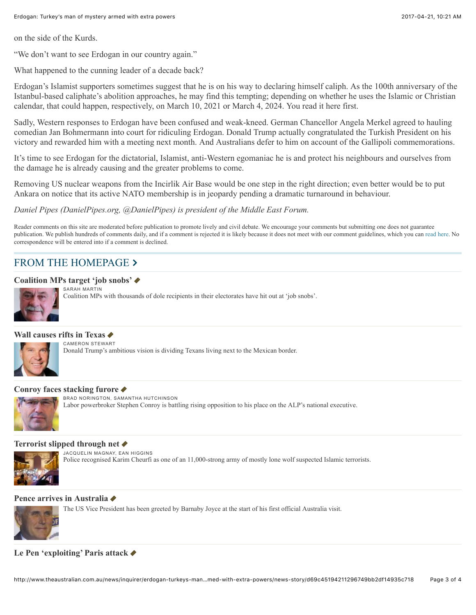on the side of the Kurds.

"We don't want to see Erdogan in our country again."

What happened to the cunning leader of a decade back?

Erdogan's Islamist supporters sometimes suggest that he is on his way to declaring himself caliph. As the 100th anniversary of the Istanbul-based caliphate's abolition approaches, he may find this tempting; depending on whether he uses the Islamic or Christian calendar, that could happen, respectively, on March 10, 2021 or March 4, 2024. You read it here first.

Sadly, Western responses to Erdogan have been confused and weak-kneed. German Chancellor Angela Merkel agreed to hauling comedian Jan Bohmermann into court for ridiculing Erdogan. Donald Trump actually congratulated the Turkish President on his victory and rewarded him with a meeting next month. And Australians defer to him on account of the Gallipoli commemorations.

It's time to see Erdogan for the dictatorial, Islamist, anti-Western egomaniac he is and protect his neighbours and ourselves from the damage he is already causing and the greater problems to come.

Removing US nuclear weapons from the Incirlik Air Base would be one step in the right direction; even better would be to put Ankara on notice that its active NATO membership is in jeopardy pending a dramatic turnaround in behaviour.

*Daniel Pipes (DanielPipes.org, @DanielPipes) is president of the Middle East Forum.*

Reader comments on this site are moderated before publication to promote lively and civil debate. We encourage your comments but submitting one does not guarantee publication. We publish hundreds of comments daily, and if a comment is rejected it is likely because it does not meet with our comment guidelines, which you can [read here](http://www.theaustralian.com.au/help#comment_not_published). No correspondence will be entered into if a comment is declined.

## [FROM THE HOMEPAGE](http://www.theaustralian.com.au/) >

### **[Coalition MPs target 'job snobs'](http://www.theaustralian.com.au/national-affairs/industrial-relations/coalition-regional-mps-target-job-snobs/news-story/c66dbf38e429cf62230a6378d79def84) ♦**



SARAH MARTIN Coalition MPs with thousands of dole recipients in their electorates have hit out at 'job snobs'.

## **[Wall causes rifts in Texas](http://www.theaustralian.com.au/news/inquirer/donald-trumps-wall-divides-texans-along-the-mexican-border/news-story/0951fc0f0dea5e6a4f5d43b1aab8f2f3)**  $\triangle$



#### **[Conroy faces stacking furore](http://www.theaustralian.com.au/national-affairs/stephen-conroy-fights-conflict-calls-on-branch-stack-in-gaming-ministers-seat/news-story/0e07f45ad3e2b00de2e29c7b9aed22f6) ♦**

BRAD NORINGTON, SAMANTHA HUTCHINSON

Labor powerbroker Stephen Conroy is battling rising opposition to his place on the ALP's national executive.

#### **[Terrorist slipped through net](http://www.theaustralian.com.au/news/world/paris-attack-terrorist-slipped-through-police-net/news-story/21b18a4ea4806b408b728a0289e978b5) ♦**



JACQUELIN MAGNAY, EAN HIGGINS Police recognised Karim Cheurfi as one of an 11,000-strong army of mostly lone wolf suspected Islamic terrorists.

#### **[Pence arrives in Australia](http://www.theaustralian.com.au/national-affairs/foreign-affairs/us-vice-president-mike-pence-arrives-in-sydney-for-australia-visit/news-story/9720421e5783404841874b051fa23e4c) ♦**



The US Vice President has been greeted by Barnaby Joyce at the start of his first official Australia visit.

**[Le Pen 'exploiting' Paris attack](http://www.theaustralian.com.au/news/world/paris-shooting-marine-le-pen-accused-of-exploiting-attack/news-story/40a4b997e8143a468f2b7f01a19e5850) ♦**